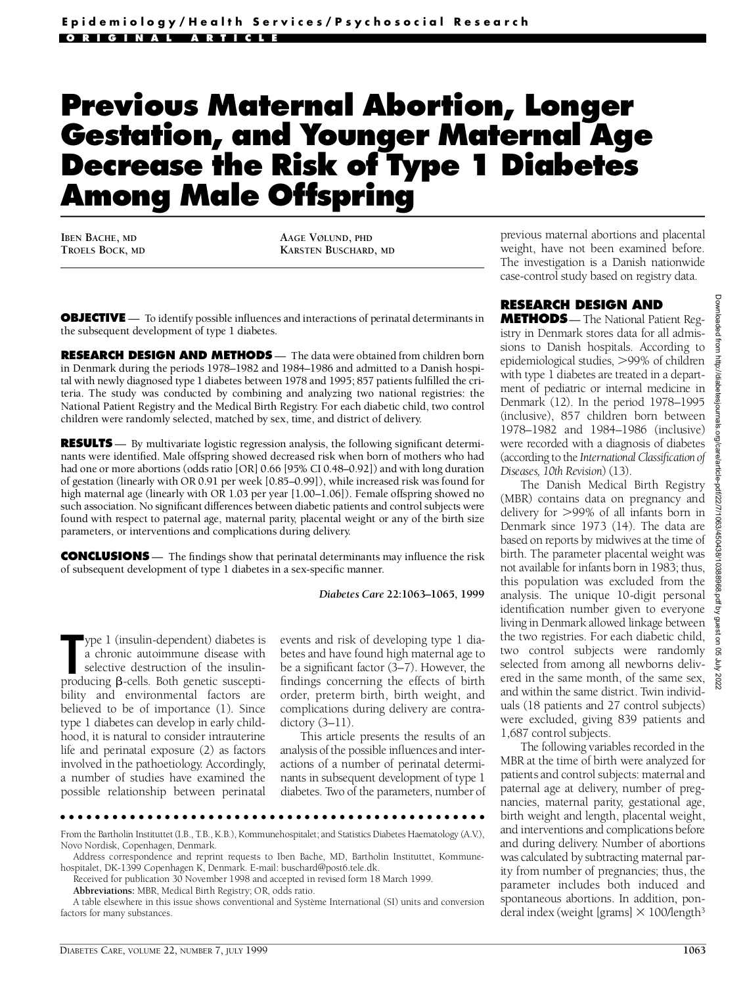# **Previous Maternal Abortion, Longer Gestation, and Younger Maternal Age Decrease the Risk of Type 1 Diabetes Among Male Offspring**

**IBEN BACHE, MD TROELS BOCK, MD** **AAGE VØLUND, PHD KARSTEN BUSCHARD, MD**

**OBJECTIVE** — To identify possible influences and interactions of perinatal determinants in the subsequent development of type 1 diabetes.

**RESEARCH DESIGN AND METHODS** — The data were obtained from children born in Denmark during the periods 1978–1982 and 1984–1986 and admitted to a Danish hospital with newly diagnosed type 1 diabetes between 1978 and 1995; 857 patients fulfilled the criteria. The study was conducted by combining and analyzing two national registries: the National Patient Registry and the Medical Birth Registry. For each diabetic child, two control children were randomly selected, matched by sex, time, and district of delivery.

**RESULTS** — By multivariate logistic regression analysis, the following significant determinants were identified. Male offspring showed decreased risk when born of mothers who had had one or more abortions (odds ratio [OR] 0.66 [95% CI 0.48–0.92]) and with long duration of gestation (linearly with OR 0.91 per week [0.85–0.99]), while increased risk was found for high maternal age (linearly with OR 1.03 per year [1.00–1.06]). Female offspring showed no such association. No significant differences between diabetic patients and control subjects were found with respect to paternal age, maternal parity, placental weight or any of the birth size parameters, or interventions and complications during delivery.

**CONCLUSIONS** — The findings show that perinatal determinants may influence the risk of subsequent development of type 1 diabetes in a sex-specific manner.

#### *Diabetes Care* **22:1063–1065, 1999**

**The 1** (insulin-dependent) diabetes is<br>
a chronic autoimmune disease with<br>
selective destruction of the insulin-<br>
producing β-cells. Both genetic susceptiype 1 (insulin-dependent) diabetes is a chronic autoimmune disease with selective destruction of the insulinbility and environmental factors are believed to be of importance (1). Since type 1 diabetes can develop in early childhood, it is natural to consider intrauterine life and perinatal exposure (2) as factors involved in the pathoetiology. Accordingly, a number of studies have examined the possible relationship between perinatal

events and risk of developing type 1 diabetes and have found high maternal age to be a significant factor (3–7). However, the findings concerning the effects of birth order, preterm birth, birth weight, and complications during delivery are contra $dictory (3–11).$ 

This article presents the results of an analysis of the possible influences and interactions of a number of perinatal determ inants in subsequent development of type 1 diabetes. Two of the parameters, number of

From the Bartholin Instituttet (I.B., T.B., K.B.), Kommunehospitalet; and Statistics Diabetes Haematology (A.V.), Novo Nordisk, Copenhagen, Denmark.

Address correspondence and reprint requests to Iben Bache, MD, Bartholin Instituttet, Kommunehospitalet, DK-1399 Copenhagen K, Denmark. E-mail: buschard@post6.tele.dk.

Received for publication 30 November 1998 and accepted in revised form 18 March 1999.

Abbreviations: MBR, Medical Birth Registry; OR, odds ratio.

A table elsewhere in this issue shows conventional and Système International (SI) units and conversion factors for many substances.

p revious maternal abortions and placental weight, have not been examined before. The investigation is a Danish nationwide case-control study based on registry data.

# **RESEARCH DESIGN AND**

**METHODS**— The National Patient Registry in Denmark stores data for all admissions to Danish hospitals. According to epidemiological studies,  $>99\%$  of children with type 1 diabetes are treated in a department of pediatric or internal medicine in Denmark (12). In the period 1978–1995 (inclusive), 857 children born between 1978–1982 and 1984–1986 (inclusive) were recorded with a diagnosis of diabetes (according to the *International Classification of Diseases, 10th Revision*) (13).

The Danish Medical Birth Registry (MBR) contains data on pregnancy and delivery for  $>99\%$  of all infants born in Denmark since 1973 (14). The data are based on reports by midwives at the time of birth. The parameter placental weight was not available for infants born in 1983; thus, this population was excluded from the analysis. The unique 10-digit personal identification number given to everyone living in Denmark allowed linkage between the two registries. For each diabetic child, two control subjects were randomly selected from among all newborns delive red in the same month, of the same sex, and within the same district. Twin individuals (18 patients and 27 control subjects) were excluded, giving 839 patients and 1,687 control subjects.

The following variables recorded in the MBR at the time of birth were analyzed for patients and control subjects: maternal and paternal age at delivery, number of pregnancies, maternal parity, gestational age, birth weight and length, placental weight, and interventions and complications before and during delivery. Number of abortions was calculated by subtracting maternal parity from number of pregnancies; thus, the parameter includes both induced and spontaneous abortions. In addition, ponderal index (weight [grams]  $\times$  100/length<sup>3</sup>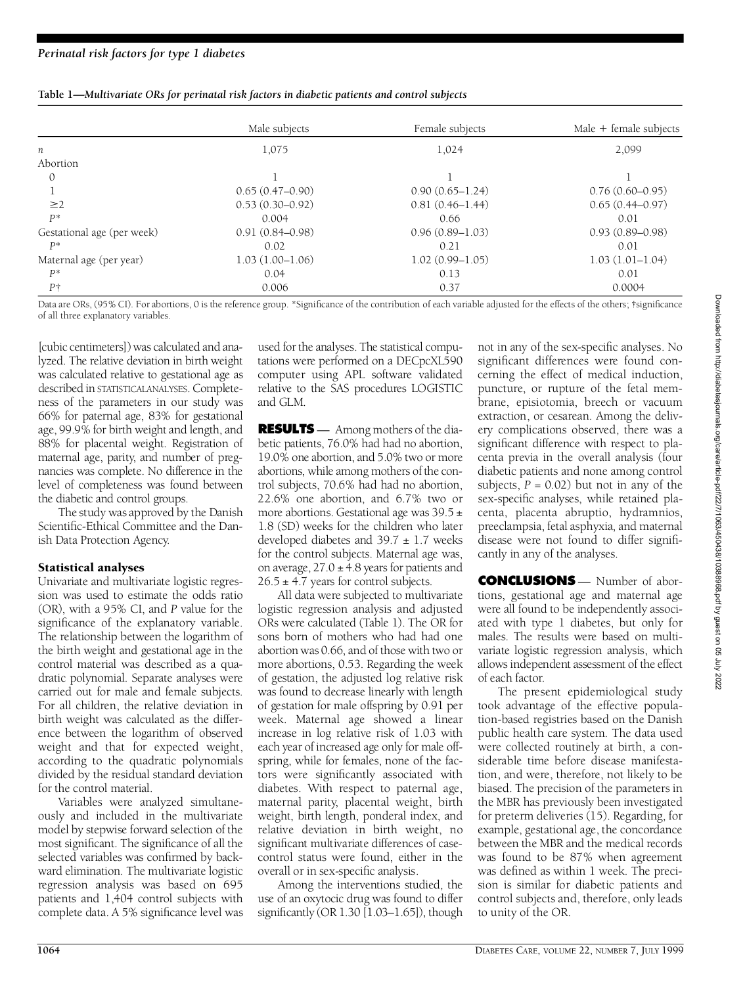|                            | Male subjects       | Female subjects     | Male $+$ female subjects |
|----------------------------|---------------------|---------------------|--------------------------|
| n                          | 1,075               | 1,024               | 2,099                    |
| Abortion                   |                     |                     |                          |
| $\Omega$                   |                     |                     |                          |
|                            | $0.65(0.47-0.90)$   | $0.90(0.65 - 1.24)$ | $0.76(0.60 - 0.95)$      |
| $\geq$ 2                   | $0.53(0.30-0.92)$   | $0.81(0.46 - 1.44)$ | $0.65(0.44 - 0.97)$      |
| $P^*$                      | 0.004               | 0.66                | 0.01                     |
| Gestational age (per week) | $0.91(0.84 - 0.98)$ | $0.96(0.89 - 1.03)$ | $0.93(0.89 - 0.98)$      |
| $P^*$                      | 0.02                | 0.21                | 0.01                     |
| Maternal age (per year)    | $1.03(1.00-1.06)$   | $1.02(0.99 - 1.05)$ | $1.03(1.01-1.04)$        |
| $P^*$                      | 0.04                | 0.13                | 0.01                     |
| $P\dagger$                 | 0.006               | 0.37                | 0.0004                   |

Data are ORs, (95% CI). For abortions, 0 is the reference group. \*Significance of the contribution of each variable adjusted for the effects of the others; †significance of all three explanatory variables.

[cubic centimeters]) was calculated and analyzed. The relative deviation in birth weight was calculated relative to gestational age as described in STATISTICALANALYSES. Completeness of the parameters in our study was 66% for paternal age, 83% for gestational age, 99.9% for birth weight and length, and 88% for placental weight. Registration of maternal age, parity, and number of pregnancies was complete. No difference in the level of completeness was found between the diabetic and control groups.

The study was approved by the Danish Scientific-Ethical Committee and the Danish Data Protection Agency.

## Statistical analyses

Univariate and multivariate logistic regression was used to estimate the odds ratio (OR), with a 95% CI, and *P* value for the significance of the explanatory variable. The relationship between the logarithm of the birth weight and gestational age in the control material was described as a quadratic polynomial. Separate analyses were carried out for male and female subjects. For all children, the relative deviation in birth weight was calculated as the difference between the logarithm of observed weight and that for expected weight, according to the quadratic polynomials divided by the residual standard deviation for the control material.

Variables were analyzed simultaneously and included in the multivariate model by stepwise forward selection of the most significant. The significance of all the selected variables was confirmed by backward elimination. The multivariate logistic regression analysis was based on 695 patients and 1,404 control subjects with complete data. A 5% significance level was

used for the analyses. The statistical computations were performed on a DECpcXL590 computer using APL software validated relative to the SAS procedures LOGISTIC and GLM.

**RESULTS** — Among mothers of the diabetic patients, 76.0% had had no abortion, 19.0% one abortion, and 5.0% two or more abortions, while among mothers of the control subjects, 70.6% had had no abortion, 22.6% one abortion, and 6.7% two or more abortions. Gestational age was  $39.5 \pm$ 1.8 (SD) weeks for the children who later developed diabetes and  $39.7 \pm 1.7$  weeks for the control subjects. Maternal age was, on average,  $27.0 \pm 4.8$  years for patients and  $26.5 \pm 4.7$  years for control subjects.

All data were subjected to multivariate logistic regression analysis and adjusted ORs were calculated (Table 1). The OR for sons born of mothers who had had one abortion was 0.66, and of those with two or more abortions, 0.53. Regarding the week of gestation, the adjusted log relative risk was found to decrease linearly with length of gestation for male offspring by 0.91 per week. Maternal age showed a linear increase in log relative risk of 1.03 with each year of increased age only for male offspring, while for females, none of the factors were significantly associated with diabetes. With respect to paternal age, maternal parity, placental weight, birth weight, birth length, ponderal index, and relative deviation in birth weight, no significant multivariate differences of casecontrol status were found, either in the overall or in sex-specific analysis.

Among the interventions studied, the use of an oxytocic drug was found to differ significantly (OR  $1.30$  [ $1.03-1.65$ ]), though not in any of the sex-specific analyses. No significant differences were found concerning the effect of medical induction, puncture, or rupture of the fetal membrane, episiotomia, breech or vacuum extraction, or cesarean. Among the delivery complications observed, there was a significant difference with respect to placenta previa in the overall analysis (four diabetic patients and none among control subjects,  $P = 0.02$ ) but not in any of the sex-specific analyses, while retained placenta, placenta abruptio, hydramnios, preeclampsia, fetal asphyxia, and maternal disease were not found to differ significantly in any of the analyses.

**CONCLUSIONS** — Number of abortions, gestational age and maternal age were all found to be independently associated with type 1 diabetes, but only for males. The results were based on multivariate logistic regression analysis, which allows independent assessment of the effect of each factor.

The present epidemiological study took advantage of the effective population-based registries based on the Danish public health care system. The data used were collected routinely at birth, a considerable time before disease manifestation, and were, therefore, not likely to be biased. The precision of the parameters in the MBR has previously been investigated for preterm deliveries (15). Regarding, for example, gestational age, the concordance between the MBR and the medical records was found to be 87% when agreement was defined as within 1 week. The precision is similar for diabetic patients and control subjects and, therefore, only leads to unity of the OR.